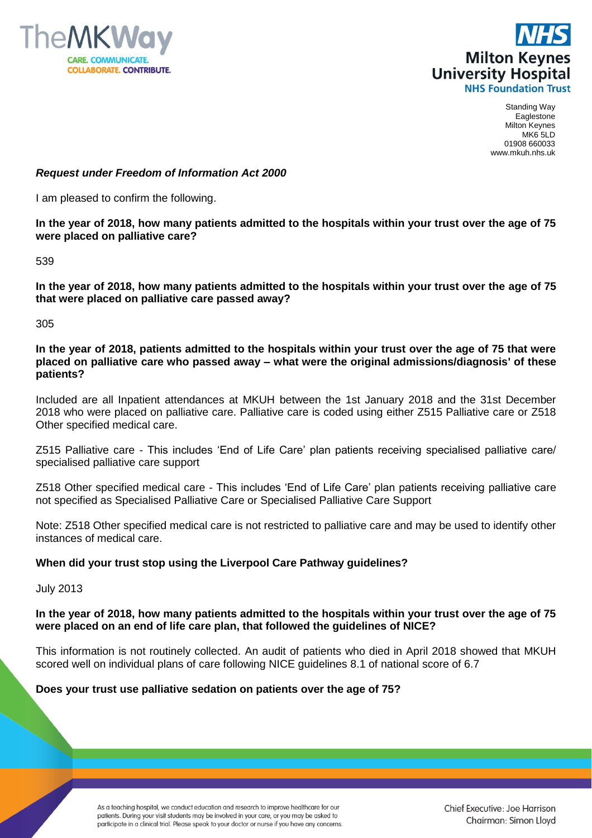



Standing Way Eaglestone Milton Keynes MK6 5LD 01908 660033 www.mkuh.nhs.uk

#### *Request under Freedom of Information Act 2000*

I am pleased to confirm the following.

**In the year of 2018, how many patients admitted to the hospitals within your trust over the age of 75 were placed on palliative care?**

539

**In the year of 2018, how many patients admitted to the hospitals within your trust over the age of 75 that were placed on palliative care passed away?**

305

**In the year of 2018, patients admitted to the hospitals within your trust over the age of 75 that were placed on palliative care who passed away – what were the original admissions/diagnosis' of these patients?**

Included are all Inpatient attendances at MKUH between the 1st January 2018 and the 31st December 2018 who were placed on palliative care. Palliative care is coded using either Z515 Palliative care or Z518 Other specified medical care.

Z515 Palliative care - This includes 'End of Life Care' plan patients receiving specialised palliative care/ specialised palliative care support

Z518 Other specified medical care - This includes 'End of Life Care' plan patients receiving palliative care not specified as Specialised Palliative Care or Specialised Palliative Care Support

Note: Z518 Other specified medical care is not restricted to palliative care and may be used to identify other instances of medical care.

### **When did your trust stop using the Liverpool Care Pathway guidelines?**

July 2013

### **In the year of 2018, how many patients admitted to the hospitals within your trust over the age of 75 were placed on an end of life care plan, that followed the guidelines of NICE?**

This information is not routinely collected. An audit of patients who died in April 2018 showed that MKUH scored well on individual plans of care following NICE guidelines 8.1 of national score of 6.7

#### **Does your trust use palliative sedation on patients over the age of 75?**

As a teaching hospital, we conduct education and research to improve healthcare for our patients. During your visit students may be involved in your care, or you may be asked to participate in a clinical trial. Please speak to your doctor or nurse if you have any concerns.